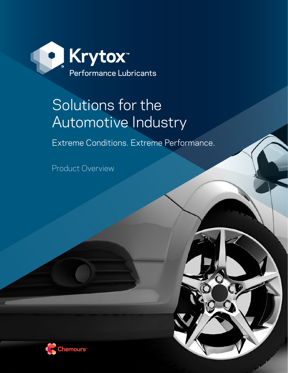

# Solutions for the Automotive Industry

Extreme Conditions. Extreme Performance.

Product Overview

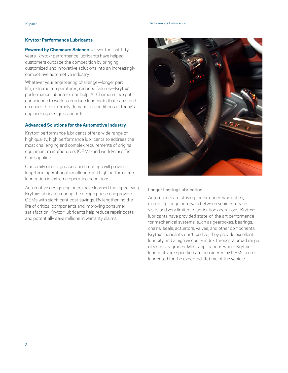#### **Krytox™ Performance Lubricants**

**Powered by Chemours Science…** Over the last fifty years, Krytox™ performance lubricants have helped customers outpace the competition by bringing customized and innovative solutions into an increasingly competitive automotive industry.

Whatever your engineering challenge—longer part life, extreme temperatures, reduced failures—Krytox™ performance lubricants can help. At Chemours, we put our science to work to produce lubricants that can stand up under the extremely demanding conditions of today's engineering design standards.

## **Advanced Solutions for the Automotive Industry**

Krytox™ performance lubricants offer a wide range of high quality, high performance lubricants to address the most challenging and complex requirements of original equipment manufacturers (OEMs) and world-class Tier One suppliers.

Our family of oils, greases, and coatings will provide long-term operational excellence and high performance lubrication in extreme operating conditions.

Automotive design engineers have learned that specifying Krytox<sup>™</sup> lubricants during the design phase can provide OEMs with significant cost savings. By lengthening the life of critical components and improving consumer satisfaction, Krytox<sup>™</sup> lubricants help reduce repair costs and potentially save millions in warranty claims.



#### Longer Lasting Lubrication

Automakers are striving for extended warranties, expecting longer intervals between vehicle service visits and very limited relubrication operations. Krytox<sup>™</sup> lubricants have provided state-of-the art performance for mechanical systems, such as gearboxes, bearings, chains, seals, actuators, valves, and other components. Krytox<sup>®</sup> lubricants don't oxidize; they provide excellent lubricity and a high viscosity index through a broad range of viscosity grades. Most applications where Krytox™ lubricants are specified are considered by OEMs to be lubricated for the expected lifetime of the vehicle.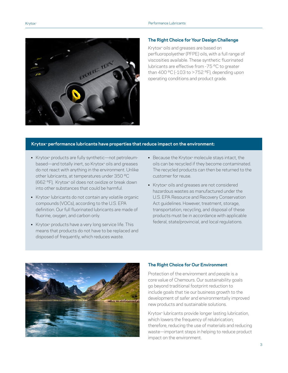

#### **The Right Choice for Your Design Challenge**

Krytox™ oils and greases are based on perfluoropolyether (PFPE) oils, with a full range of viscosities available. These synthetic fluorinated lubricants are effective from -75 °C to greater than 400 °C (-103 to >752 °F), depending upon operating conditions and product grade.

#### **Krytox™ performance lubricants have properties that reduce impact on the environment:**

- Krytox™ products are fully synthetic—not petroleumbased—and totally inert, so Krytox™ oils and greases do not react with anything in the environment. Unlike other lubricants, at temperatures under 350 ºC (662 °F), Krytox™ oil does not oxidize or break down into other substances that could be harmful.
- Krytox™ lubricants do not contain any volatile organic compounds (VOCs), according to the U.S. EPA definition. Our full fluorinated lubricants are made of fluorine, oxygen, and carbon only.
- Krytox™ products have a very long service life. This means that products do not have to be replaced and disposed of frequently, which reduces waste.
- Because the Krytox™ molecule stays intact, the oils can be recycled if they become contaminated. The recycled products can then be returned to the customer for reuse.
- Krytox™ oils and greases are not considered hazardous wastes as manufactured under the U.S. EPA Resource and Recovery Conservation Act guidelines. However, treatment, storage, transportation, recycling, and disposal of these products must be in accordance with applicable federal, state/provincial, and local regulations.



#### **The Right Choice for Our Environment**

Protection of the environment and people is a core value of Chemours. Our sustainability goals go beyond traditional footprint reduction to include goals that tie our business growth to the development of safer and environmentally improved new products and sustainable solutions.

Krytox<sup>w</sup> lubricants provide longer lasting lubrication, which lowers the frequency of relubrication; therefore, reducing the use of materials and reducing waste—important steps in helping to reduce product impact on the environment.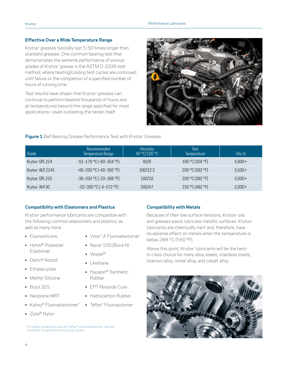## **Effective Over a Wide Temperature Range**

Krytox<sup>™</sup> greases typically last 5-50 times longer than standard greases. One common bearing test that demonstrates the extreme performance of various grades of Krytox™ grease is the ASTM D-3336 test method, where heating/cooling test cycles are continued until failure or the completion of a specified number of hours of running time.

Test results have shown that Krytox™ greases can continue to perform beyond thousands of hours and at temperatures beyond the range specified for most applications—even outlasting the tester itself.



## **Figure 1** Ball Bearing Grease Performance Test with Krytox™ Greases

| Grade                        | Recommended<br>Temperature Range | Viscosity<br>40 °C/100 °C | Test<br>Temperature | Life, hr |
|------------------------------|----------------------------------|---------------------------|---------------------|----------|
| Krytox <sup>*</sup> GPL 224  | $-51-179$ °C (-60-354 °F)        | 60/9                      | 180 °C (356 °F)     | $4.900+$ |
| Krytox <sup>*</sup> AUT 2245 | $-40-200$ °C ( $-40-392$ °F)     | 100/12.3                  | 200 °C (392 °F)     | $5,500+$ |
| Krytox <sup>*</sup> GPL 225  | $-36-204$ °C ( $-33-399$ °F)     | 160/18                    | 200 °C (392 °F)     | $5,000+$ |
| Krytox <sup>*</sup> XHT AC   | $-20-300$ °C (-4-572 °F)         | 500/47                    | 250 °C (482 °F)     | $2,000+$ |

## **Compatibility with Elastomers and Plastics**

Krytox™ performance lubricants are compatible with the following common elastomers and plastics, as well as many more:

- Fluorosilicone
- Hytrel® Polyester Elastomer
- Delrin® Acetal
- Ethylacrylate
- Methyl Silicone
- Butyl 325
- Neoprene WRT
- Kalrez® Fluoroelastomer\*
- Zytel® Nylon
- Viton™ A Fluoroelastomer • Nycar 100 (Buna N)
- Vespel®
- **•** Urethane
- Hypalon® Synthetic Rubber
- EPT Peroxide Cure
- Hydrocarbon Rubber
- Teflon™ Fluoropolymer
- \* For higher temperature use with Kalrez™ perfluoroelastomer, the user should ask for guidance on the proper grades.

## **Compatibility with Metals**

Because of their low surface tensions, Krytox<sup>™</sup> oils and greases easily lubricate metallic surfaces. Krytox<sup>™</sup> lubricants are chemically inert and, therefore, have no adverse effect on metals when the temperature is below 288 °C (550 ºF).

Above this point, Krytox<sup>™</sup> lubricants will be the bestin-class choice for many alloy steels, stainless steels, titanium alloy, nickel alloy, and cobalt alloy.

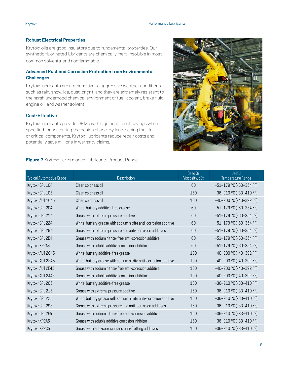## **Robust Electrical Properties**

Krytox™ oils are good insulators due to fundamental properties. Our synthetic fluorinated lubricants are chemically inert, insoluble in most common solvents, and nonflammable.

# **Advanced Rust and Corrosion Protection from Environmental Challenges**

Krytox<sup>™</sup> lubricants are not sensitive to aggressive weather conditions, such as rain, snow, ice, dust, or grit, and they are extremely resistant to the harsh underhood chemical environment of fuel, coolant, brake fluid, engine oil, and washer solvent.

## **Cost-Effective**

Krytox<sup>w</sup> lubricants provide OEMs with significant cost savings when specified for use during the design phase. By lengthening the life of critical components, Krytox™ lubricants reduce repair costs and potentially save millions in warranty claims.

## **Figure 2** Krytox™ Performance Lubricants Product Range



| <b>Typical Automotive Grade</b> | Description                                                       | <b>Base Oil</b><br>Viscosity, cSt | <b>Useful</b><br>Temperature Range |
|---------------------------------|-------------------------------------------------------------------|-----------------------------------|------------------------------------|
| Krytox <sup>®</sup> GPL 104     | Clear, colorless oil                                              | 60                                | $-51-179$ °C (-60-354 °F)          |
| Krytox <sup>®</sup> GPL 105     | Clear, colorless oil                                              | 160                               | $-36-210$ °C ( $-33-410$ °F)       |
| Krytox ~ AUT 1045               | Clear, colorless oil                                              | 100                               | $-40-200$ °C (-40-392 °F)          |
| Krytox <sup>®</sup> GPL 204     | White, buttery additive-free grease                               | 60                                | $-51-179$ °C (-60-354 °F)          |
| Krytox <sup>®</sup> GPL 214     | Grease with extreme pressure additive                             | 60                                | $-51-179$ °C (-60-354 °F)          |
| Krytox~GPL 224                  | White, buttery grease with sodium nitrite anti-corrosion additive | 60                                | $-51-179$ °C (-60-354 °F)          |
| Krytox <sup>®</sup> GPL 294     | Grease with extreme pressure and anti-corrosion additives         | 60                                | $-51-179$ °C (-60-354 °F)          |
| Krytox~ GPL 2E4                 | Grease with sodium nitrite-free anti-corrosion additive           | 60                                | $-51-179$ °C (-60-354 °F)          |
| Krytox~ XP2A4                   | Grease with soluble additive corrosion inhibitor                  | 60                                | $-51-179$ °C (-60-354 °F)          |
| Krytox <sup>*</sup> AUT 2045    | White, buttery additive-free grease                               | 100                               | $-40-200$ °C ( $-40-392$ °F)       |
| Krytox~ AUT 2245                | White, buttery grease with sodium nitrite anti-corrosion additive | 100                               | $-40-200$ °C ( $-40-392$ °F)       |
| Krytox <sup>®</sup> AUT 2E45    | Grease with sodium nitrite-free anti-corrosion additive           | 100                               | $-40-200$ °C ( $-40-392$ °F)       |
| Krytox~ AUT 2A45                | Grease with soluble additive corrosion inhibitor                  | 100                               | $-40-200$ °C (-40-392 °F)          |
| Krytox <sup>~</sup> GPL 205     | White, buttery additive-free grease                               | 160                               | $-36-210$ °C ( $-33-410$ °F)       |
| Krytox <sup>®</sup> GPL 215     | Grease with extreme pressure additive                             | 160                               | $-36-210$ °C ( $-33-410$ °F)       |
| Krytox <sup>®</sup> GPL 225     | White, buttery grease with sodium nitrite anti-corrosion additive | 160                               | $-36-210$ °C ( $-33-410$ °F)       |
| Krytox <sup>®</sup> GPL 295     | Grease with extreme pressure and anti-corrosion additives         | 160                               | $-36-210$ °C ( $-33-410$ °F)       |
| Krytox <sup>®</sup> GPL 2E5     | Grease with sodium nitrite-free anti-corrosion additive           | 160                               | $-36-210$ °C ( $-33-410$ °F)       |
| Krytox <sup>®</sup> XP2A5       | Grease with soluble additive corrosion inhibitor                  | 160                               | $-36-210$ °C ( $-33-410$ °F)       |
| Krytox <sup>~</sup> XP2C5       | Grease with anti-corrosion and anti-fretting additives            | 160                               | $-36-210$ °C ( $-33-410$ °F)       |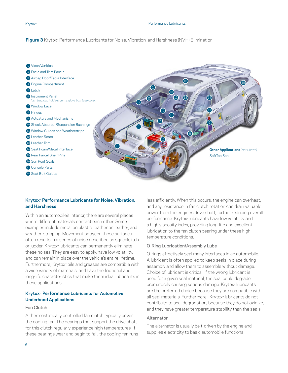# **Figure 3** Krytox™ Performance Lubricants for Noise, Vibration, and Harshness (NVH) Elimination



# **Krytox™ Performance Lubricants for Noise, Vibration, and Harshness**

Within an automobile's interior, there are several places where different materials contact each other. Some examples include metal on plastic, leather on leather, and weather-stripping. Movement between these surfaces often results in a series of noise described as squeak, itch, or judder. Krytox<sup>™</sup> lubricants can permanently eliminate these noises. They are easy to apply, have low volatility, and can remain in place over the vehicle's entire lifetime. Furthermore, Krytox™ oils and greases are compatible with a wide variety of materials, and have the frictional and long-life characteristics that make them ideal lubricants in these applications.

## **Krytox™ Performance Lubricants for Automotive Underhood Applications**

## Fan Clutch

A thermostatically controlled fan clutch typically drives the cooling fan. The bearings that support the drive shaft for this clutch regularly experience high temperatures. If these bearings wear and begin to fail, the cooling fan runs

less efficiently. When this occurs, the engine can overheat, and any resistance in fan clutch rotation can drain valuable power from the engine's drive shaft, further reducing overall performance. Krytox<sup>™</sup> lubricants have low volatility and a high viscosity index, providing long-life and excellent lubrication to the fan clutch bearing under these high temperature conditions.

# O-Ring Lubrication/Assembly Lube

O-rings effectively seal many interfaces in an automobile. A lubricant is often applied to keep seals in place during assembly and allow them to assemble without damage. Choice of lubricant is critical: if the wrong lubricant is used for a given seal material, the seal could degrade, prematurely causing serious damage. Krytox<sup>®</sup> lubricants are the preferred choice because they are compatible with all seal materials. Furthermore, Krytox™ lubricants do not contribute to seal degradation, because they do not oxidize, and they have greater temperature stability than the seals.

## Alternator

The alternator is usually belt-driven by the engine and supplies electricity to basic automobile functions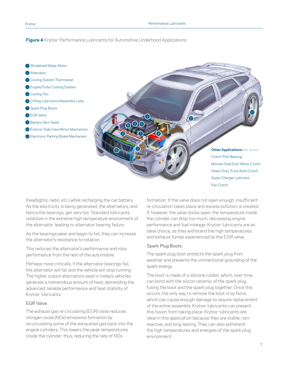#### **Figure 4** Krytox™ Performance Lubricants for Automotive Underhood Applications



(headlights, radio, etc.) while recharging the car battery. As the electricity is being generated, the alternators, and hence the bearings, get very hot. Standard lubricants volatilize in the extreme high temperature environment of the alternator, leading to alternator bearing failure.

As the bearings wear and begin to fail, they can increase the alternator's resistance to rotation.

This reduces the alternator's performance and robs performance from the rest of the automobile.

Perhaps more critically, if the alternator bearings fail, the alternator will fail and the vehicle will stop running. The higher output alternators used in today's vehicles generate a tremendous amount of heat, demanding the advanced, reliable performance and heat stability of Krytox™ lubricants.

#### EGR Valve

The exhaust gas re-circulating (EGR) valve reduces nitrogen oxide (NOx) emissions formation by re-circulating some of the exhausted gas back into the engine cylinders. This lowers the peak temperatures inside the cylinder; thus, reducing the rate of NOx

formation. If the valve does not open enough, insufficient re-circulation takes place and excess pollution is created. If, however, the valve sticks open, the temperature inside the cylinder can drop too much, decreasing engine performance and fuel mileage. Krytox<sup>™</sup> lubricants are an ideal choice, as they withstand the high temperatures and exhaust fumes experienced by the EGR valve.

## Spark Plug Boots

The spark plug boot protects the spark plug from weather and prevents the unintentional grounding of the spark energy.

The boot is made of a silicone rubber, which, over time, can bond with the silicon ceramic of the spark plug, fusing the boot and the spark plug together. Once this occurs, the only way to remove the boot is by force, which can cause enough damage to require replacement of the entire assembly. Krytox™ lubricants can prevent this fusion from taking place. Krytox<sup>™</sup> lubricants are ideal in this application because they are stable, nonreactive, and long-lasting. They can also withstand the high temperatures and energies of the spark plug environment.